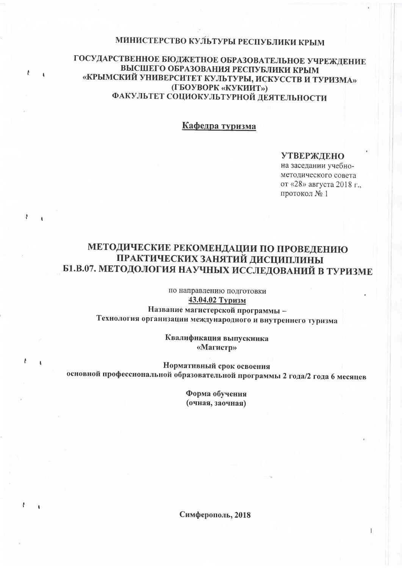# МИНИСТЕРСТВО КУЛЬТУРЫ РЕСПУБЛИКИ КРЫМ

# ГОСУДАРСТВЕННОЕ БЮДЖЕТНОЕ ОБРАЗОВАТЕЛЬНОЕ УЧРЕЖДЕНИЕ ВЫСШЕГО ОБРАЗОВАНИЯ РЕСПУБЛИКИ КРЫМ «КРЫМСКИЙ УНИВЕРСИТЕТ КУЛЬТУРЫ, ИСКУССТВ И ТУРИЗМА» (ГБОУВОРК «КУКИИТ») ФАКУЛЬТЕТ СОЦИОКУЛЬТУРНОЙ ДЕЯТЕЛЬНОСТИ

A

 $\mathbf{A}$ 

ŧ

þ

 $\lambda$ 

 $\mathbf{A}$ 

 $\overline{1}$ 

Кафедра туризма

# **УТВЕРЖДЕНО**

на заседании учебнометодического совета от «28» августа 2018 г., протокол № 1

 $\mathbf{I}$ 

# МЕТОДИЧЕСКИЕ РЕКОМЕНДАЦИИ ПО ПРОВЕДЕНИЮ ПРАКТИЧЕСКИХ ЗАНЯТИЙ ДИСЦИПЛИНЫ Б1.В.07. МЕТОДОЛОГИЯ НАУЧНЫХ ИССЛЕДОВАНИЙ В ТУРИЗМЕ

по направлению подготовки 43.04.02 Туризм

Название магистерской программы -Технология организации международного и внутреннего туризма

> Квалификация выпускника «Магистр»

Нормативный срок освоения основной профессиональной образовательной программы 2 года/2 года 6 месяцев

> Форма обучения (очная, заочная)

Симферополь, 2018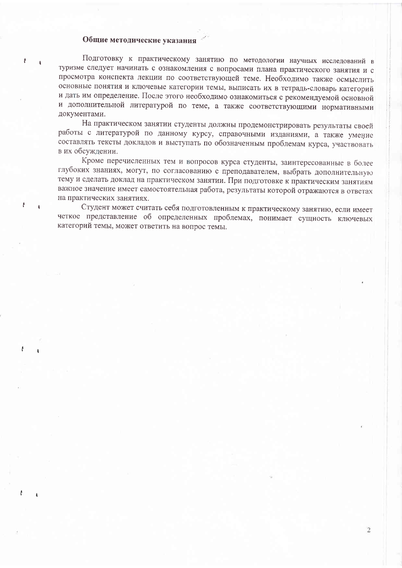# Общие методические указания

Подготовку к практическому занятию по методологии научных исследований в туризме следует начинать с ознакомления с вопросами плана практического занятия и с просмотра конспекта лекции по соответствующей теме. Необходимо также осмыслить основные понятия и ключевые категории темы, выписать их в тетрадь-словарь категорий и дать им определение. После этого необходимо ознакомиться с рекомендуемой основной и дополнительной литературой по теме, а также соответствующими нормативными документами.

На практическом занятии студенты должны продемонстрировать результаты своей работы с литературой по данному курсу, справочными изданиями, а также умение составлять тексты докладов и выступать по обозначенным проблемам курса, участвовать в их обсуждении.

Кроме перечисленных тем и вопросов курса студенты, заинтересованные в более глубоких знаниях, могут, по согласованию с преподавателем, выбрать дополнительную тему и сделать доклад на практическом занятии. При подготовке к практическим занятиям важное значение имеет самостоятельная работа, результаты которой отражаются в ответах на практических занятиях.

Студент может считать себя подготовленным к практическому занятию, если имеет четкое представление об определенных проблемах, понимает сущность ключевых категорий темы, может ответить на вопрос темы.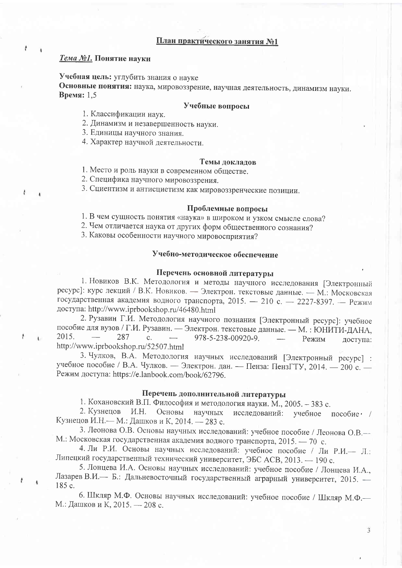# План практического занятия №1

# Тема №1. Понятие науки

ł

 $\lambda$ 

Учебная цель: углубить знания о науке Основные понятия: наука, мировоззрение, научная деятельность, динамизм науки. Время: 1,5

### Учебные вопросы

1. Классификации наук.

2. Динамизм и незавершенность науки.

3. Единицы научного знания.

4. Характер научной деятельности.

#### Темы докладов

1. Место и роль науки в современном обществе.

2. Специфика научного мировоззрения.

3. Сциентизм и антисциетизм как мировоззренческие позиции.

#### Проблемные вопросы

1. В чем сущность понятия «наука» в широком и узком смысле слова?

2. Чем отличается наука от других форм общественного сознания?

3. Каковы особенности научного мировосприятия?

# Учебно-методическое обеспечение

#### Перечень основной литературы

1. Новиков В.К. Методология и методы научного исследования [Электронный ресурс]: курс лекций / В.К. Новиков. - Электрон. текстовые данные. - М.: Московская государственная академия водного транспорта, 2015. - 210 с. - 2227-8397. - Режим доступа: http://www.iprbookshop.ru/46480.html

2. Рузавин Г.И. Методология научного познания [Электронный ресурс]: учебное пособие для вузов / Г.И. Рузавин. - Электрон. текстовые данные. - М.: ЮНИТИ-ДАНА, 2015. 287  $\mathcal{C}$ . 978-5-238-00920-9. Режим доступа: http://www.iprbookshop.ru/52507.html

3. Чулков, В.А. Методология научных исследований [Электронный ресурс] : учебное пособие / В.А. Чулков. - Электрон. дан. - Пенза: ПензГТУ, 2014. - 200 с. -Режим доступа: https://e.lanbook.com/book/62796.

#### Перечень дополнительной литературы

1. Кохановский В.П. Философия и методология науки. М., 2005. - 383 с.

2. Кузнецов *H.H.* Основы научных исследований: учебное пособие  $\cdot$  / Кузнецов И.Н. - М.: Дашков и К, 2014. - 283 с.

3. Леонова О.В. Основы научных исследований: учебное пособие / Леонова О.В. М.: Московская государственная академия водного транспорта, 2015. - 70 с.

4. Ли Р.И. Основы научных исследований: учебное пособие / Ли Р.И. - Л.: Липецкий государственный технический университет, ЭБС АСВ, 2013. - 190 с.

5. Лонцева И.А. Основы научных исследований: учебное пособие / Лонцева И.А., Лазарев В.И. - Б.: Дальневосточный государственный аграрный университет, 2015. -185 c.

6. Шкляр М.Ф. Основы научных исследований: учебное пособие / Шкляр М.Ф. М.: Дашков и К, 2015. — 208 с.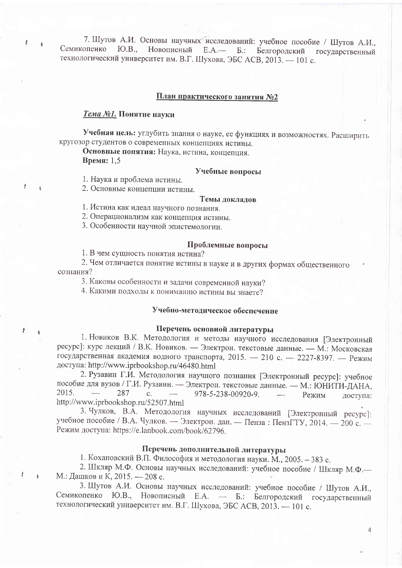7. Шутов А.И. Основы научных исследований: учебное пособие / Шутов А.И., Семикопенко Новописный  $HOB$ .  $E.A.$ —  $\mathbf{E}$ : Белгоролский государственный технологический университет им. В.Г. Шухова, ЭБС АСВ, 2013. - 101 с.

#### План практического занятия №2

#### Тема №1. Понятие науки

 $t$ 

ł  $\overline{4}$ 

 $\hat{t}$ 

ŀ

 $\mathbf{I}$ 

Учебная цель: углубить знания о науке, ее функциях и возможностях. Расширить кругозор студентов о современных концепциях истины.

Основные понятия: Наука, истина, концепция. Время: 1.5

# Учебные вопросы

1. Наука и проблема истины.

2. Основные концепции истины.

#### Темы докладов

1. Истина как идеал научного познания.

2. Операционализм как концепция истины.

3. Особенности научной эпистемологии.

#### Проблемные вопросы

1. В чем сущность понятия истина?

2. Чем отличается понятие истины в науке и в других формах общественного сознания?

3. Каковы особенности и задачи современной науки?

4. Какими подходы к пониманию истины вы знаете?

#### Учебно-методическое обеспечение

# Перечень основной литературы

1. Новиков В.К. Методология и методы научного исследования [Электронный ресурс]: курс лекций / В.К. Новиков. — Электрон. текстовые данные. — М.: Московская государственная академия водного транспорта, 2015. - 210 с. - 2227-8397. - Режим доступа: http://www.iprbookshop.ru/46480.html

2. Рузавин Г.И. Методология научного познания [Электронный ресурс]: учебное пособие для вузов / Г.И. Рузавин. - Электрон. текстовые данные. - М.: ЮНИТИ-ДАНА, 2015. 287  $\mathbf{c}$ . 978-5-238-00920-9. Режим доступа: http://www.iprbookshop.ru/52507.html

3. Чулков, В.А. Методология научных исследований [Электронный ресурс]: учебное пособие / В.А. Чулков. — Электрон. дан. — Пенза: ПензГТУ, 2014. — 200 с. Режим доступа: https://e.lanbook.com/book/62796.

# Перечень дополнительной литературы

1. Кохановский В.П. Философия и методология науки. М., 2005. - 383 с.

2. Шкляр М.Ф. Основы научных исследований: учебное пособие / Шкляр М.Ф. М.: Дашков и К, 2015. — 208 с.

3. Шутов А.И. Основы научных исследований: учебное пособие / Шутов А.И., Семикопенко Ю.В., Новописный Е.А. - Б.: Белгородский государственный технологический университет им. В.Г. Шухова, ЭБС АСВ, 2013. - 101 с.

 $\overline{4}$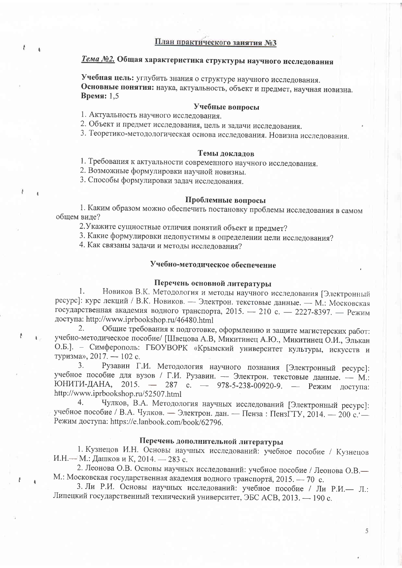# Тема №2. Общая характеристика структуры научного исследования

Учебная цель: углубить знания о структуре научного исследования. Основные понятия: наука, актуальность, объект и предмет, научная новизна. Время: 1,5

# Учебные вопросы

1. Актуальность научного исследования.

2. Объект и предмет исследования, цель и задачи исследования.

3. Теоретико-методологическая основа исследования. Новизна исследования.

#### Темы локлалов

1. Требования к актуальности современного научного исследования.

2. Возможные формулировки научной новизны.

3. Способы формулировки задач исследования.

j.

#### Проблемные вопросы

1. Каким образом можно обеспечить постановку проблемы исследования в самом общем виде?

2. Укажите сущностные отличия понятий объект и предмет?

3. Какие формулировки недопустимы в определении цели исследования?

4. Как связаны задачи и методы исследования?

# Учебно-методическое обеспечение

# Перечень основной литературы

Новиков В.К. Методология и методы научного исследования [Электронный 1. ресурс]: курс лекций / В.К. Новиков. - Электрон. текстовые данные. - М.: Московская государственная академия водного транспорта, 2015. - 210 с. - 2227-8397. - Режим доступа: http://www.iprbookshop.ru/46480.html

Общие требования к подготовке, оформлению и защите магистерских работ:  $2.$ учебно-методическое пособие/ [Швецова А.В, Микитинец А.Ю., Микитинец О.И., Элькан О.Б.]. - Симферополь: ГБОУВОРК «Крымский университет культуры, искусств и туризма», 2017. — 102 с.

Рузавин Г.И. Методология научного познания [Электронный ресурс]:  $3.$ учебное пособие для вузов / Г.И. Рузавин. - Электрон. текстовые данные. - М.: ЮНИТИ-ДАНА, 2015. - 287 с. - 978-5-238-00920-9. - Режим доступа: http://www.iprbookshop.ru/52507.html

Чулков, В.А. Методология научных исследований [Электронный ресурс]:  $4.$ учебное пособие / В.А. Чулков. - Электрон. дан. - Пенза: ПензГТУ, 2014. - 200 с. Режим доступа: https://e.lanbook.com/book/62796.

#### Перечень дополнительной литературы

1. Кузнецов И.Н. Основы научных исследований: учебное пособие / Кузнецов И.Н. - М.: Дашков и К, 2014. - 283 с.

2. Леонова О.В. Основы научных исследований: учебное пособие / Леонова О.В. М.: Московская государственная академия водного транспорта, 2015. - 70 с.

3. Ли Р.И. Основы научных исследований: учебное пособие / Ли Р.И. - Л.: Липецкий государственный технический университет, ЭБС АСВ, 2013. - 190 с.

5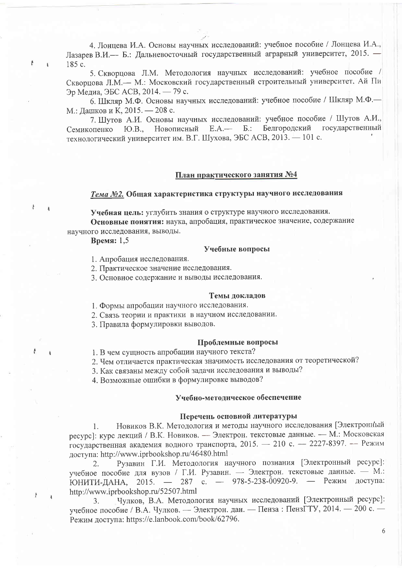4. Лонцева И.А. Основы научных исследований: учебное пособие / Лонцева И.А., Лазарев В.И.— Б.: Дальневосточный государственный аграрный университет, 2015. — 185 c.

5. Скворнова Л.М. Методология научных исследований: учебное пособие / Скворцова Л.М.- М.: Московский государственный строительный университет, Ай Пи Эр Медиа, ЭБС АСВ, 2014. — 79 с.

6. Шкляр М.Ф. Основы научных исследований: учебное пособие / Шкляр М.Ф. М.: Дашков и К, 2015. — 208 с.

7. Шутов А.И. Основы научных исследований: учебное пособие / Шутов А.И., Е.А.— Б.: Белгородский государственный Ю.В., Новописный Семикопенко технологический университет им. В.Г. Шухова, ЭБС АСВ, 2013. - 101 с.

#### План практического занятия №4

# Тема №2. Общая характеристика структуры научного исследования

Учебная цель: углубить знания о структуре научного исследования. Основные понятия: наука, апробация, практическое значение, содержание научного исследования, выводы.

Время: 1,5

ŀ

ł.

A

#### Учебные вопросы

1. Апробация исследования.

2. Практическое значение исследования.

3. Основное содержание и выводы исследования.

#### Темы докладов

1. Формы апробации научного исследования.

2. Связь теории и практики в научном исследовании.

3. Правила формулировки выводов.

#### Проблемные вопросы

1. В чем сущность апробации научного текста?

2. Чем отличается практическая значимость исследования от теоретической?

3. Как связаны между собой задачи исследования и выводы?

4. Возможные ошибки в формулировке выводов?

#### Учебно-метолическое обеспечение

#### Перечень основной литературы

Новиков В.К. Методология и методы научного исследования [Электронный  $1<sub>1</sub>$ ресурс]: курс лекций / В.К. Новиков. - Электрон. текстовые данные. - М.: Московская государственная академия водного транспорта, 2015. - 210 с. - 2227-8397. - Режим лоступа: http://www.iprbookshop.ru/46480.html

Рузавин Г.И. Методология научного познания [Электронный ресурс]:  $2.$ учебное пособие для вузов / Г.И. Рузавин. - Электрон. текстовые данные. - М.: ЮНИТИ-ДАНА, 2015. - 287 с. - 978-5-238-00920-9. - Режим доступа: http://www.iprbookshop.ru/52507.html

Чулков, В.А. Методология научных исследований [Электронный ресурс]:  $3<sub>1</sub>$ учебное пособие / В.А. Чулков. - Электрон. дан. - Пенза: ПензГТУ, 2014. - 200 с. -Режим доступа: https://e.lanbook.com/book/62796.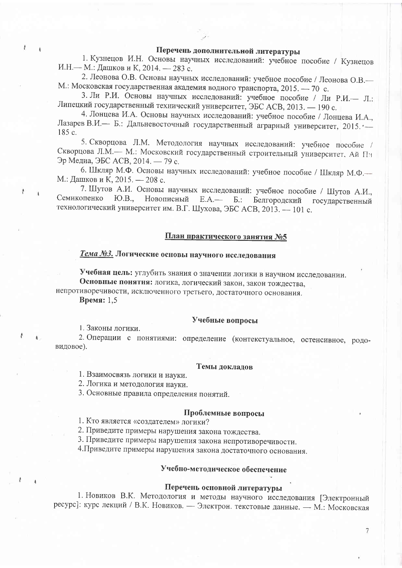# Перечень дополнительной литературы

1. Кузнецов И.Н. Основы научных исследований: учебное пособие / Кузнецов И.Н. - М.: Дашков и К, 2014. - 283 с.

2. Леонова О.В. Основы научных исследований: учебное пособие / Леонова О.В. М.: Московская государственная академия водного транспорта, 2015. - 70 с.

сковская государственная академия водного транспорта, 2015. — 70 с.<br>3. Ли Р.И. Основы научных исследований: учебное пособие / Ли Р.И.— Л. Липецкий государственный технический университет, ЭБС АСВ, 2013. - 190 с.<br>4. Лонцева И.А. Основы научных исследований: учебное пособие / Лонцева И.А.,

Лазарев В.И.- Б.: Дальневосточный государственный аграрный университет, 2015. -185 c.

5. Скворцова Л.М. Методология научных исследований: учебное пособие / Скворцова Л.М.- М.: Московский государственный строительный университет. Ай Пи Эр Медиа, ЭБС АСВ, 2014. — 79 с.

на, ЭБС АСБ, 2014. — 79 с.<br>6. Шкляр М.Ф. Основы научных исследований: учебное пособие / Шкляр М.Ф.--М.: Дашков и К, 2015. - 208 с.

7. Шутов А.И. Основы научных исследований: учебное пособие / Шутов А.И., Семикопенко IO.B., Новописный Е.А.— Б.: Белгородский государственный технологический университет им. В.Г. Шухова, ЭБС АСВ, 2013. — 101 с.

# План практического занятия №5

# Тема №3. Логические основы научного исследования

Учебная цель: углубить знания о значении логики в научном исследовании.

Основные понятия: логика, логический закон, закон тождества,

непротиворечивости, исключенного третьего, достаточного основания.

Время:  $1,5$ 

#### Учебные вопросы

1. Законы логики.

2. Операции с понятиями: определение (контекстуальное, остенсивное, родовидовое).

#### Темы докладов

1. Взаимосвязь логики и науки.

2. Логика и методология науки.

3. Основные правила определения понятий.

#### Проблемные вопросы

1. Кто является «создателем» логики?

2. Приведите примеры нарушения закона тождества.

3. Приведите примеры нарушения закона непротиворечивости.

4. Приведите примеры нарушения закона достаточного основания.

# Учебно-методическое обеспечение

# Перечень основной литературы

 $\overline{7}$ 

1. Новиков В.К. Методология и методы научного исследования [Электронный — Электрон. текстовые данные. — М.: Московская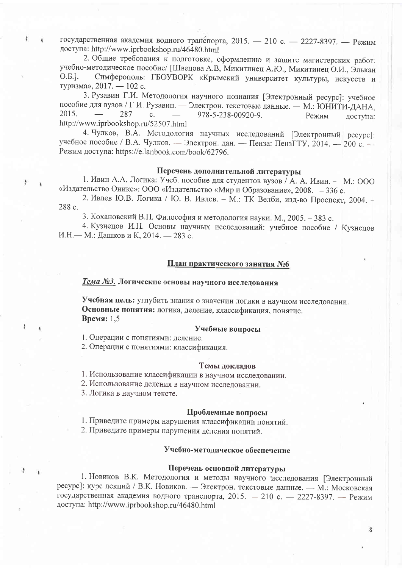государственная академия водного транспорта, 2015. - 210 с. - 2227-8397. - Режим доступа: http://www.iprbookshop.ru/46480.html

2. Общие требования к подготовке, оформлению и защите магистерских работ: учебно-методическое пособие/ [Швецова А.В, Микитинец А.Ю., Микитинец О.И., Элькан О.Б.]. - Симферополь: ГБОУВОРК «Крымский университет культуры, искусств и туризма», 2017. — 102 с.

3. Рузавин Г.И. Методология научного познания [Электронный ресурс]: учебное пособие для вузов / Г.И. Рузавин. - Электрон. текстовые данные. - М.: ЮНИТИ-ДАНА, 2015. 287  $\mathbf{c}$ . 978-5-238-00920-9. Режим лоступа: http://www.iprbookshop.ru/52507.html

4. Чулков, В.А. Методология научных исследований [Электронный ресурс]: учебное пособие / В.А. Чулков. - Электрон. дан. - Пенза: ПензГТУ, 2014. - 200 с. Режим доступа: https://e.lanbook.com/book/62796.

### Перечень дополнительной литературы

1. Ивин А.А. Логика: Учеб. пособие для студентов вузов / А. А. Ивин. - М.: ООО «Издательство Оникс»: ООО «Издательство «Мир и Образование», 2008. - 336 с.

2. Ивлев Ю.В. Логика / Ю. В. Ивлев. - М.: ТК Велби, изд-во Проспект, 2004. -288 c.

3. Кохановский В.П. Философия и методология науки. М., 2005. - 383 с.

4. Кузнецов И.Н. Основы научных исследований: учебное пособие / Кузнецов И.Н. - М.: Дашков и К, 2014. - 283 с.

#### План практического занятия №6

# Тема №3. Логические основы научного исследования

Учебная цель: углубить знания о значении логики в научном исследовании. Основные понятия: логика, деление, классификация, понятие. Время: 1,5

#### Учебные вопросы

1. Операции с понятиями: деление.

2. Операции с понятиями: классификация.

#### Темы докладов

1. Использование классификации в научном исследовании.

2. Использование деления в научном исследовании.

3. Логика в научном тексте.

ŀ

ŧ

#### Проблемные вопросы

1. Приведите примеры нарушения классификации понятий.

2. Приведите примеры нарушения деления понятий.

# Учебно-методическое обеспечение

# Перечень основной литературы

1. Новиков В.К. Методология и методы научного исследования [Электронный ресурс]: курс лекций / В.К. Новиков. - Электрон. текстовые данные. - М.: Московская государственная академия водного транспорта, 2015. - 210 с. - 2227-8397. - Режим доступа: http://www.iprbookshop.ru/46480.html